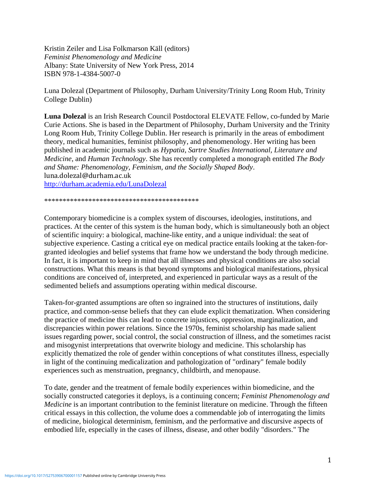Kristin Zeiler and Lisa Folkmarson Käll (editors) *Feminist Phenomenology and Medicine* Albany: State University of New York Press, 2014 ISBN 978-1-4384-5007-0

Luna Dolezal (Department of Philosophy, Durham University/Trinity Long Room Hub, Trinity College Dublin)

**Luna Dolezal** is an Irish Research Council Postdoctoral ELEVATE Fellow, co-funded by Marie Curie Actions. She is based in the Department of Philosophy, Durham University and the Trinity Long Room Hub, Trinity College Dublin. Her research is primarily in the areas of embodiment theory, medical humanities, feminist philosophy, and phenomenology. Her writing has been published in academic journals such as *Hypatia*, *Sartre Studies International, Literature and Medicine*, and *Human Technology*. She has recently completed a monograph entitled *The Body and Shame: Phenomenology, Feminism, and the Socially Shaped Body*. luna.dolezal@durham.ac.uk

<http://durham.academia.edu/LunaDolezal>

\*\*\*\*\*\*\*\*\*\*\*\*\*\*\*\*\*\*\*\*\*\*\*\*\*\*\*\*\*\*\*\*\*\*\*\*\*\*\*\*\*\*

Contemporary biomedicine is a complex system of discourses, ideologies, institutions, and practices. At the center of this system is the human body, which is simultaneously both an object of scientific inquiry: a biological, machine-like entity, and a unique individual: the seat of subjective experience. Casting a critical eye on medical practice entails looking at the taken-forgranted ideologies and belief systems that frame how we understand the body through medicine. In fact, it is important to keep in mind that all illnesses and physical conditions are also social constructions. What this means is that beyond symptoms and biological manifestations, physical conditions are conceived of, interpreted, and experienced in particular ways as a result of the sedimented beliefs and assumptions operating within medical discourse.

Taken-for-granted assumptions are often so ingrained into the structures of institutions, daily practice, and common-sense beliefs that they can elude explicit thematization. When considering the practice of medicine this can lead to concrete injustices, oppression, marginalization, and discrepancies within power relations. Since the 1970s, feminist scholarship has made salient issues regarding power, social control, the social construction of illness, and the sometimes racist and misogynist interpretations that overwrite biology and medicine. This scholarship has explicitly thematized the role of gender within conceptions of what constitutes illness, especially in light of the continuing medicalization and pathologization of "ordinary" female bodily experiences such as menstruation, pregnancy, childbirth, and menopause.

To date, gender and the treatment of female bodily experiences within biomedicine, and the socially constructed categories it deploys, is a continuing concern; *Feminist Phenomenology and Medicine* is an important contribution to the feminist literature on medicine. Through the fifteen critical essays in this collection, the volume does a commendable job of interrogating the limits of medicine, biological determinism, feminism, and the performative and discursive aspects of embodied life, especially in the cases of illness, disease, and other bodily "disorders." The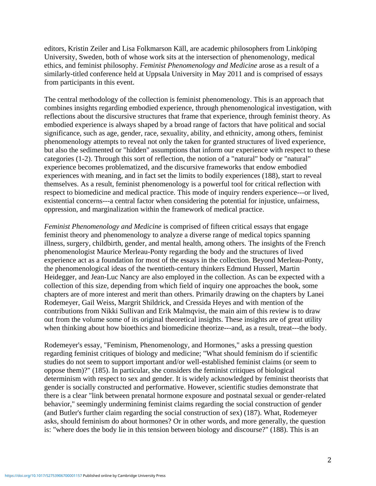editors, Kristin Zeiler and Lisa Folkmarson Käll, are academic philosophers from Linköping University, Sweden, both of whose work sits at the intersection of phenomenology, medical ethics, and feminist philosophy. *Feminist Phenomenology and Medicine* arose as a result of a similarly-titled conference held at Uppsala University in May 2011 and is comprised of essays from participants in this event.

The central methodology of the collection is feminist phenomenology. This is an approach that combines insights regarding embodied experience, through phenomenological investigation, with reflections about the discursive structures that frame that experience, through feminist theory. As embodied experience is always shaped by a broad range of factors that have political and social significance, such as age, gender, race, sexuality, ability, and ethnicity, among others, feminist phenomenology attempts to reveal not only the taken for granted structures of lived experience, but also the sedimented or "hidden" assumptions that inform our experience with respect to these categories (1-2). Through this sort of reflection, the notion of a "natural" body or "natural" experience becomes problematized, and the discursive frameworks that endow embodied experiences with meaning, and in fact set the limits to bodily experiences (188), start to reveal themselves. As a result, feminist phenomenology is a powerful tool for critical reflection with respect to biomedicine and medical practice. This mode of inquiry renders experience---or lived, existential concerns---a central factor when considering the potential for injustice, unfairness, oppression, and marginalization within the framework of medical practice.

*Feminist Phenomenology and Medicine* is comprised of fifteen critical essays that engage feminist theory and phenomenology to analyze a diverse range of medical topics spanning illness, surgery, childbirth, gender, and mental health, among others. The insights of the French phenomenologist Maurice Merleau-Ponty regarding the body and the structures of lived experience act as a foundation for most of the essays in the collection. Beyond Merleau-Ponty, the phenomenological ideas of the twentieth-century thinkers Edmund Husserl, Martin Heidegger, and Jean-Luc Nancy are also employed in the collection. As can be expected with a collection of this size, depending from which field of inquiry one approaches the book, some chapters are of more interest and merit than others. Primarily drawing on the chapters by Lanei Rodemeyer, Gail Weiss, Margrit Shildrick, and Cressida Heyes and with mention of the contributions from Nikki Sullivan and Erik Malmqvist, the main aim of this review is to draw out from the volume some of its original theoretical insights. These insights are of great utility when thinking about how bioethics and biomedicine theorize---and, as a result, treat---the body.

Rodemeyer's essay, "Feminism, Phenomenology, and Hormones," asks a pressing question regarding feminist critiques of biology and medicine; "What should feminism do if scientific studies do not seem to support important and/or well-established feminist claims (or seem to oppose them)?" (185). In particular, she considers the feminist critiques of biological determinism with respect to sex and gender. It is widely acknowledged by feminist theorists that gender is socially constructed and performative. However, scientific studies demonstrate that there is a clear "link between prenatal hormone exposure and postnatal sexual or gender-related behavior," seemingly undermining feminist claims regarding the social construction of gender (and Butler's further claim regarding the social construction of sex) (187). What, Rodemeyer asks, should feminism do about hormones? Or in other words, and more generally, the question is: "where does the body lie in this tension between biology and discourse?" (188). This is an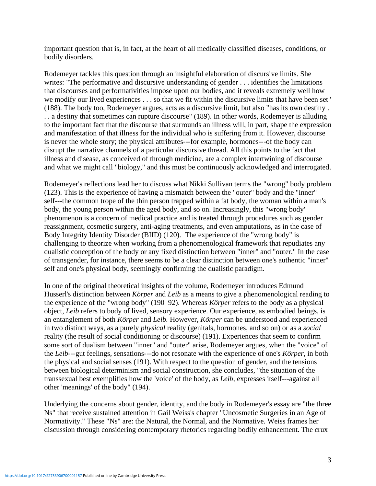important question that is, in fact, at the heart of all medically classified diseases, conditions, or bodily disorders.

Rodemeyer tackles this question through an insightful elaboration of discursive limits. She writes: "The performative and discursive understanding of gender . . . identifies the limitations that discourses and performativities impose upon our bodies, and it reveals extremely well how we modify our lived experiences . . . so that we fit within the discursive limits that have been set" (188). The body too, Rodemeyer argues, acts as a discursive limit, but also "has its own destiny . . . a destiny that sometimes can rupture discourse" (189). In other words, Rodemeyer is alluding to the important fact that the discourse that surrounds an illness will, in part, shape the expression and manifestation of that illness for the individual who is suffering from it. However, discourse is never the whole story; the physical attributes---for example, hormones---of the body can disrupt the narrative channels of a particular discursive thread. All this points to the fact that illness and disease, as conceived of through medicine, are a complex intertwining of discourse and what we might call "biology," and this must be continuously acknowledged and interrogated.

Rodemeyer's reflections lead her to discuss what Nikki Sullivan terms the "wrong" body problem (123). This is the experience of having a mismatch between the "outer" body and the "inner" self---the common trope of the thin person trapped within a fat body, the woman within a man's body, the young person within the aged body, and so on. Increasingly, this "wrong body" phenomenon is a concern of medical practice and is treated through procedures such as gender reassignment, cosmetic surgery, anti-aging treatments, and even amputations, as in the case of Body Integrity Identity Disorder (BIID) (120). The experience of the "wrong body" is challenging to theorize when working from a phenomenological framework that repudiates any dualistic conception of the body or any fixed distinction between "inner" and "outer." In the case of transgender, for instance, there seems to be a clear distinction between one's authentic "inner" self and one's physical body, seemingly confirming the dualistic paradigm.

In one of the original theoretical insights of the volume, Rodemeyer introduces Edmund Husserl's distinction between *Körper* and *Leib* as a means to give a phenomenological reading to the experience of the "wrong body" (190–92). Whereas *Körper* refers to the body as a physical object, *Leib* refers to body of lived, sensory experience. Our experience, as embodied beings, is an entanglement of both *Körper* and *Leib.* However, *Körper* can be understood and experienced in two distinct ways, as a purely *physical* reality (genitals, hormones, and so on) or as a *social*  reality (the result of social conditioning or discourse) (191). Experiences that seem to confirm some sort of dualism between "inner" and "outer" arise, Rodemeyer argues, when the "voice" of the *Leib*---gut feelings, sensations---do not resonate with the experience of one's *Körper*, in both the physical and social senses (191). With respect to the question of gender, and the tensions between biological determinism and social construction, she concludes, "the situation of the transsexual best exemplifies how the 'voice' of the body, as *Leib*, expresses itself---against all other 'meanings' of the body" (194).

Underlying the concerns about gender, identity, and the body in Rodemeyer's essay are "the three Ns" that receive sustained attention in Gail Weiss's chapter "Uncosmetic Surgeries in an Age of Normativity." These "Ns" are: the Natural, the Normal, and the Normative. Weiss frames her discussion through considering contemporary rhetorics regarding bodily enhancement. The crux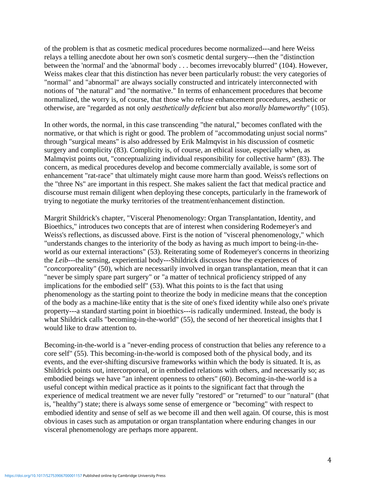of the problem is that as cosmetic medical procedures become normalized---and here Weiss relays a telling anecdote about her own son's cosmetic dental surgery---then the "distinction between the 'normal' and the 'abnormal' body . . . becomes irrevocably blurred" (104). However, Weiss makes clear that this distinction has never been particularly robust: the very categories of "normal" and "abnormal" are always socially constructed and intricately interconnected with notions of "the natural" and "the normative." In terms of enhancement procedures that become normalized, the worry is, of course, that those who refuse enhancement procedures, aesthetic or otherwise, are "regarded as not only *aesthetically deficient* but also *morally blameworthy*" (105).

In other words, the normal, in this case transcending "the natural," becomes conflated with the normative, or that which is right or good. The problem of "accommodating unjust social norms" through "surgical means" is also addressed by Erik Malmqvist in his discussion of cosmetic surgery and complicity (83). Complicity is, of course, an ethical issue, especially when, as Malmqvist points out, "conceptualizing individual responsibility for collective harm" (83). The concern, as medical procedures develop and become commercially available, is some sort of enhancement "rat-race" that ultimately might cause more harm than good. Weiss's reflections on the "three Ns" are important in this respect. She makes salient the fact that medical practice and discourse must remain diligent when deploying these concepts, particularly in the framework of trying to negotiate the murky territories of the treatment/enhancement distinction.

Margrit Shildrick's chapter, "Visceral Phenomenology: Organ Transplantation, Identity, and Bioethics," introduces two concepts that are of interest when considering Rodemeyer's and Weiss's reflections, as discussed above. First is the notion of "visceral phenomenology," which "understands changes to the interiority of the body as having as much import to being-in-theworld as our external interactions" (53). Reiterating some of Rodemeyer's concerns in theorizing the *Leib*---the sensing, experiential body---Shildrick discusses how the experiences of "*con*corporeality" (50), which are necessarily involved in organ transplantation, mean that it can "never be simply spare part surgery" or "a matter of technical proficiency stripped of any implications for the embodied self" (53). What this points to is the fact that using phenomenology as the starting point to theorize the body in medicine means that the conception of the body as a machine-like entity that is the site of one's fixed identity while also one's private property---a standard starting point in bioethics---is radically undermined. Instead, the body is what Shildrick calls "becoming-in-the-world" (55), the second of her theoretical insights that I would like to draw attention to.

Becoming-in-the-world is a "never-ending process of construction that belies any reference to a core self" (55). This becoming-in-the-world is composed both of the physical body, and its events, and the ever-shifting discursive frameworks within which the body is situated. It is, as Shildrick points out, intercorporeal, or in embodied relations with others, and necessarily so; as embodied beings we have "an inherent openness to others" (60). Becoming-in-the-world is a useful concept within medical practice as it points to the significant fact that through the experience of medical treatment we are never fully "restored" or "returned" to our "natural" (that is, "healthy") state; there is always some sense of emergence or "becoming" with respect to embodied identity and sense of self as we become ill and then well again. Of course, this is most obvious in cases such as amputation or organ transplantation where enduring changes in our visceral phenomenology are perhaps more apparent.